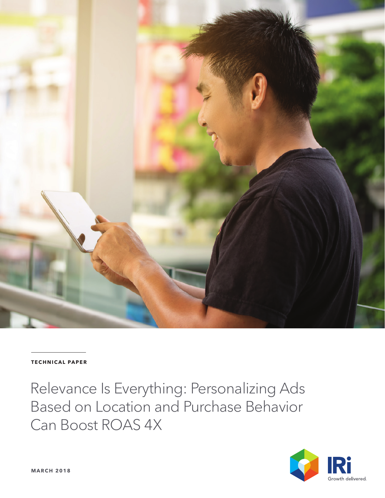

#### **TECHNICAL PAPER**

Relevance Is Everything: Personalizing Ads Based on Location and Purchase Behavior Can Boost ROAS 4X

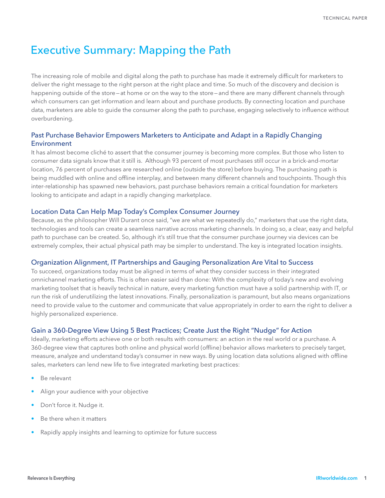# Executive Summary: Mapping the Path

The increasing role of mobile and digital along the path to purchase has made it extremely difficult for marketers to deliver the right message to the right person at the right place and time. So much of the discovery and decision is happening outside of the store—at home or on the way to the store—and there are many different channels through which consumers can get information and learn about and purchase products. By connecting location and purchase data, marketers are able to guide the consumer along the path to purchase, engaging selectively to influence without overburdening.

## Past Purchase Behavior Empowers Marketers to Anticipate and Adapt in a Rapidly Changing **Environment**

It has almost become cliché to assert that the consumer journey is becoming more complex. But those who listen to consumer data signals know that it still is. Although 93 percent of most purchases still occur in a brick-and-mortar location, 76 percent of purchases are researched online (outside the store) before buying. The purchasing path is being muddled with online and offline interplay, and between many different channels and touchpoints. Though this inter-relationship has spawned new behaviors, past purchase behaviors remain a critical foundation for marketers looking to anticipate and adapt in a rapidly changing marketplace.

## Location Data Can Help Map Today's Complex Consumer Journey

Because, as the philosopher Will Durant once said, "we are what we repeatedly do," marketers that use the right data, technologies and tools can create a seamless narrative across marketing channels. In doing so, a clear, easy and helpful path to purchase can be created. So, although it's still true that the consumer purchase journey via devices can be extremely complex, their actual physical path may be simpler to understand. The key is integrated location insights.

### Organization Alignment, IT Partnerships and Gauging Personalization Are Vital to Success

To succeed, organizations today must be aligned in terms of what they consider success in their integrated omnichannel marketing efforts. This is often easier said than done: With the complexity of today's new and evolving marketing toolset that is heavily technical in nature, every marketing function must have a solid partnership with IT, or run the risk of underutilizing the latest innovations. Finally, personalization is paramount, but also means organizations need to provide value to the customer and communicate that value appropriately in order to earn the right to deliver a highly personalized experience.

## Gain a 360-Degree View Using 5 Best Practices; Create Just the Right "Nudge" for Action

Ideally, marketing efforts achieve one or both results with consumers: an action in the real world or a purchase. A 360-degree view that captures both online and physical world (offline) behavior allows marketers to precisely target, measure, analyze and understand today's consumer in new ways. By using location data solutions aligned with offline sales, marketers can lend new life to five integrated marketing best practices:

- Be relevant
- Align your audience with your objective
- Don't force it. Nudge it.
- Be there when it matters
- Rapidly apply insights and learning to optimize for future success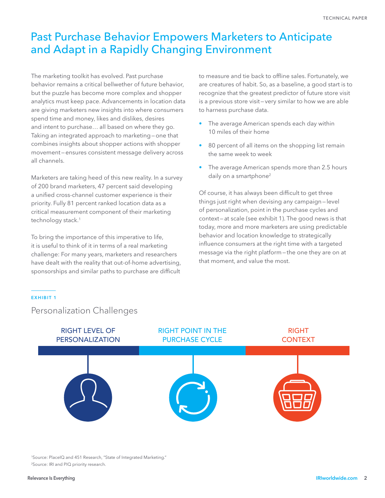# Past Purchase Behavior Empowers Marketers to Anticipate and Adapt in a Rapidly Changing Environment

The marketing toolkit has evolved. Past purchase behavior remains a critical bellwether of future behavior, but the puzzle has become more complex and shopper analytics must keep pace. Advancements in location data are giving marketers new insights into where consumers spend time and money, likes and dislikes, desires and intent to purchase… all based on where they go. Taking an integrated approach to marketing—one that combines insights about shopper actions with shopper movement—ensures consistent message delivery across all channels.

Marketers are taking heed of this new reality. In a survey of 200 brand marketers, 47 percent said developing a unified cross-channel customer experience is their priority. Fully 81 percent ranked location data as a critical measurement component of their marketing technology stack.<sup>1</sup>

To bring the importance of this imperative to life, it is useful to think of it in terms of a real marketing challenge: For many years, marketers and researchers have dealt with the reality that out-of-home advertising, sponsorships and similar paths to purchase are difficult

to measure and tie back to offline sales. Fortunately, we are creatures of habit. So, as a baseline, a good start is to recognize that the greatest predictor of future store visit is a previous store visit—very similar to how we are able to harness purchase data.

- The average American spends each day within 10 miles of their home
- 80 percent of all items on the shopping list remain the same week to week
- The average American spends more than 2.5 hours daily on a smartphone<sup>2</sup>

Of course, it has always been difficult to get three things just right when devising any campaign—level of personalization, point in the purchase cycles and context—at scale (see exhibit 1). The good news is that today, more and more marketers are using predictable behavior and location knowledge to strategically influence consumers at the right time with a targeted message via the right platform—the one they are on at that moment, and value the most.

#### **EXHIBIT 1**

# Personalization Challenges



1Source: PlaceIQ and 451 Research, "State of Integrated Marketing." 2Source: IRI and PIQ priority research.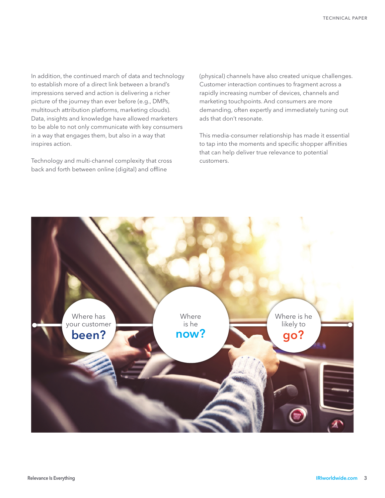In addition, the continued march of data and technology to establish more of a direct link between a brand's impressions served and action is delivering a richer picture of the journey than ever before (e.g., DMPs, multitouch attribution platforms, marketing clouds). Data, insights and knowledge have allowed marketers to be able to not only communicate with key consumers in a way that engages them, but also in a way that inspires action.

Technology and multi-channel complexity that cross back and forth between online (digital) and offline

(physical) channels have also created unique challenges. Customer interaction continues to fragment across a rapidly increasing number of devices, channels and marketing touchpoints. And consumers are more demanding, often expertly and immediately tuning out ads that don't resonate.

This media-consumer relationship has made it essential to tap into the moments and specific shopper affinities that can help deliver true relevance to potential customers.

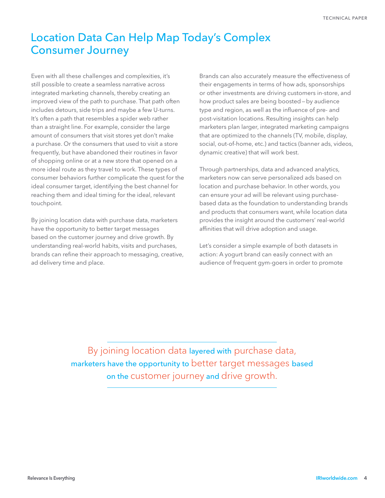# Location Data Can Help Map Today's Complex Consumer Journey

Even with all these challenges and complexities, it's still possible to create a seamless narrative across integrated marketing channels, thereby creating an improved view of the path to purchase. That path often includes detours, side trips and maybe a few U-turns. It's often a path that resembles a spider web rather than a straight line. For example, consider the large amount of consumers that visit stores yet don't make a purchase. Or the consumers that used to visit a store frequently, but have abandoned their routines in favor of shopping online or at a new store that opened on a more ideal route as they travel to work. These types of consumer behaviors further complicate the quest for the ideal consumer target, identifying the best channel for reaching them and ideal timing for the ideal, relevant touchpoint.

By joining location data with purchase data, marketers have the opportunity to better target messages based on the customer journey and drive growth. By understanding real-world habits, visits and purchases, brands can refine their approach to messaging, creative, ad delivery time and place.

Brands can also accurately measure the effectiveness of their engagements in terms of how ads, sponsorships or other investments are driving customers in-store, and how product sales are being boosted—by audience type and region, as well as the influence of pre- and post-visitation locations. Resulting insights can help marketers plan larger, integrated marketing campaigns that are optimized to the channels (TV, mobile, display, social, out-of-home, etc.) and tactics (banner ads, videos, dynamic creative) that will work best.

Through partnerships, data and advanced analytics, marketers now can serve personalized ads based on location and purchase behavior. In other words, you can ensure your ad will be relevant using purchasebased data as the foundation to understanding brands and products that consumers want, while location data provides the insight around the customers' real-world affinities that will drive adoption and usage.

Let's consider a simple example of both datasets in action: A yogurt brand can easily connect with an audience of frequent gym-goers in order to promote

By joining location data layered with purchase data, marketers have the opportunity to better target messages based on the customer journey and drive growth.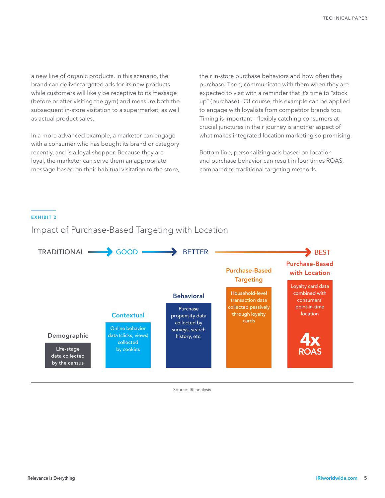a new line of organic products. In this scenario, the brand can deliver targeted ads for its new products while customers will likely be receptive to its message (before or after visiting the gym) and measure both the subsequent in-store visitation to a supermarket, as well as actual product sales.

In a more advanced example, a marketer can engage with a consumer who has bought its brand or category recently, and is a loyal shopper. Because they are loyal, the marketer can serve them an appropriate message based on their habitual visitation to the store, their in-store purchase behaviors and how often they purchase. Then, communicate with them when they are expected to visit with a reminder that it's time to "stock up" (purchase). Of course, this example can be applied to engage with loyalists from competitor brands too. Timing is important—flexibly catching consumers at crucial junctures in their journey is another aspect of what makes integrated location marketing so promising.

Bottom line, personalizing ads based on location and purchase behavior can result in four times ROAS, compared to traditional targeting methods.

#### **EXHIBIT 2**

# Impact of Purchase-Based Targeting with Location



Source: IRI analysis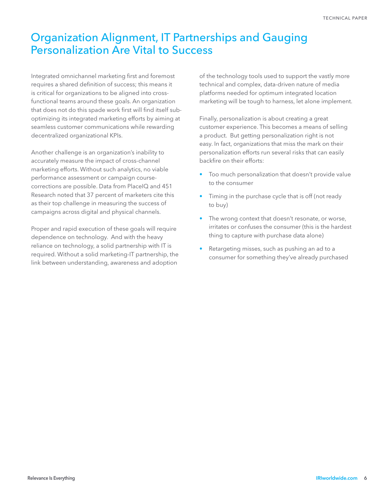# Organization Alignment, IT Partnerships and Gauging Personalization Are Vital to Success

Integrated omnichannel marketing first and foremost requires a shared definition of success; this means it is critical for organizations to be aligned into crossfunctional teams around these goals. An organization that does not do this spade work first will find itself suboptimizing its integrated marketing efforts by aiming at seamless customer communications while rewarding decentralized organizational KPIs.

Another challenge is an organization's inability to accurately measure the impact of cross-channel marketing efforts. Without such analytics, no viable performance assessment or campaign coursecorrections are possible. Data from PlaceIQ and 451 Research noted that 37 percent of marketers cite this as their top challenge in measuring the success of campaigns across digital and physical channels.

Proper and rapid execution of these goals will require dependence on technology. And with the heavy reliance on technology, a solid partnership with IT is required. Without a solid marketing-IT partnership, the link between understanding, awareness and adoption

of the technology tools used to support the vastly more technical and complex, data-driven nature of media platforms needed for optimum integrated location marketing will be tough to harness, let alone implement.

Finally, personalization is about creating a great customer experience. This becomes a means of selling a product. But getting personalization right is not easy. In fact, organizations that miss the mark on their personalization efforts run several risks that can easily backfire on their efforts:

- Too much personalization that doesn't provide value to the consumer
- Timing in the purchase cycle that is off (not ready to buy)
- The wrong context that doesn't resonate, or worse, irritates or confuses the consumer (this is the hardest thing to capture with purchase data alone)
- Retargeting misses, such as pushing an ad to a consumer for something they've already purchased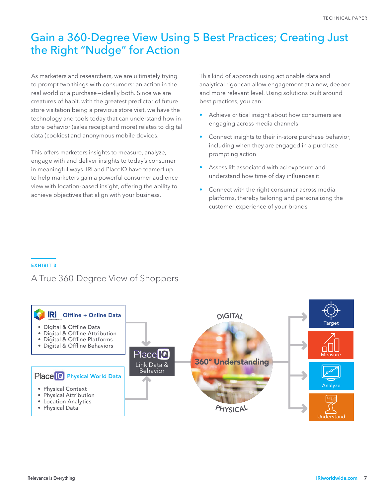# Gain a 360-Degree View Using 5 Best Practices; Creating Just the Right "Nudge" for Action

As marketers and researchers, we are ultimately trying to prompt two things with consumers: an action in the real world or a purchase—ideally both. Since we are creatures of habit, with the greatest predictor of future store visitation being a previous store visit, we have the technology and tools today that can understand how instore behavior (sales receipt and more) relates to digital data (cookies) and anonymous mobile devices.

This offers marketers insights to measure, analyze, engage with and deliver insights to today's consumer in meaningful ways. IRI and PlaceIQ have teamed up to help marketers gain a powerful consumer audience view with location-based insight, offering the ability to achieve objectives that align with your business.

This kind of approach using actionable data and analytical rigor can allow engagement at a new, deeper and more relevant level. Using solutions built around best practices, you can:

- Achieve critical insight about how consumers are engaging across media channels
- Connect insights to their in-store purchase behavior, including when they are engaged in a purchaseprompting action
- Assess lift associated with ad exposure and understand how time of day influences it
- Connect with the right consumer across media platforms, thereby tailoring and personalizing the customer experience of your brands

### **EXHIBIT 3**

# A True 360-Degree View of Shoppers

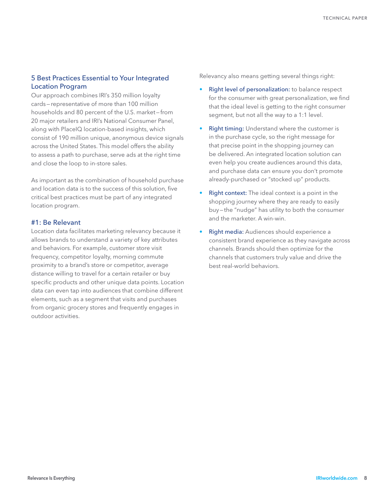# 5 Best Practices Essential to Your Integrated Location Program

Our approach combines IRI's 350 million loyalty cards—representative of more than 100 million households and 80 percent of the U.S. market—from 20 major retailers and IRI's National Consumer Panel, along with PlaceIQ location-based insights, which consist of 190 million unique, anonymous device signals across the United States. This model offers the ability to assess a path to purchase, serve ads at the right time and close the loop to in-store sales.

As important as the combination of household purchase and location data is to the success of this solution, five critical best practices must be part of any integrated location program.

## #1: Be Relevant

Location data facilitates marketing relevancy because it allows brands to understand a variety of key attributes and behaviors. For example, customer store visit frequency, competitor loyalty, morning commute proximity to a brand's store or competitor, average distance willing to travel for a certain retailer or buy specific products and other unique data points. Location data can even tap into audiences that combine different elements, such as a segment that visits and purchases from organic grocery stores and frequently engages in outdoor activities.

Relevancy also means getting several things right:

- Right level of personalization: to balance respect for the consumer with great personalization, we find that the ideal level is getting to the right consumer segment, but not all the way to a 1:1 level.
- **Right timing:** Understand where the customer is in the purchase cycle, so the right message for that precise point in the shopping journey can be delivered. An integrated location solution can even help you create audiences around this data, and purchase data can ensure you don't promote already-purchased or "stocked up" products.
- Right context: The ideal context is a point in the shopping journey where they are ready to easily buy—the "nudge" has utility to both the consumer and the marketer. A win-win.
- Right media: Audiences should experience a consistent brand experience as they navigate across channels. Brands should then optimize for the channels that customers truly value and drive the best real-world behaviors.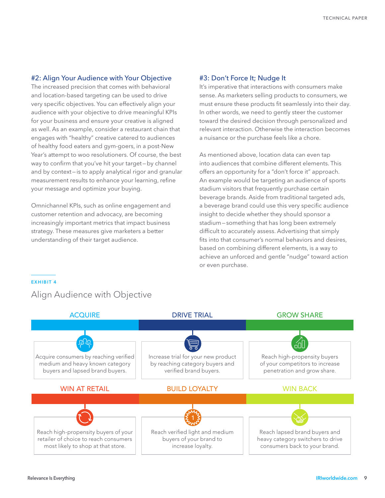### #2: Align Your Audience with Your Objective

The increased precision that comes with behavioral and location-based targeting can be used to drive very specific objectives. You can effectively align your audience with your objective to drive meaningful KPIs for your business and ensure your creative is aligned as well. As an example, consider a restaurant chain that engages with "healthy" creative catered to audiences of healthy food eaters and gym-goers, in a post-New Year's attempt to woo resolutioners. Of course, the best way to confirm that you've hit your target—by channel and by context—is to apply analytical rigor and granular measurement results to enhance your learning, refine your message and optimize your buying.

Omnichannel KPIs, such as online engagement and customer retention and advocacy, are becoming increasingly important metrics that impact business strategy. These measures give marketers a better understanding of their target audience.

#### #3: Don't Force It; Nudge It

It's imperative that interactions with consumers make sense. As marketers selling products to consumers, we must ensure these products fit seamlessly into their day. In other words, we need to gently steer the customer toward the desired decision through personalized and relevant interaction. Otherwise the interaction becomes a nuisance or the purchase feels like a chore.

As mentioned above, location data can even tap into audiences that combine different elements. This offers an opportunity for a "don't force it" approach. An example would be targeting an audience of sports stadium visitors that frequently purchase certain beverage brands. Aside from traditional targeted ads, a beverage brand could use this very specific audience insight to decide whether they should sponsor a stadium—something that has long been extremely difficult to accurately assess. Advertising that simply fits into that consumer's normal behaviors and desires, based on combining different elements, is a way to achieve an unforced and gentle "nudge" toward action or even purchase.

#### **EXHIBIT 4**

# Align Audience with Objective

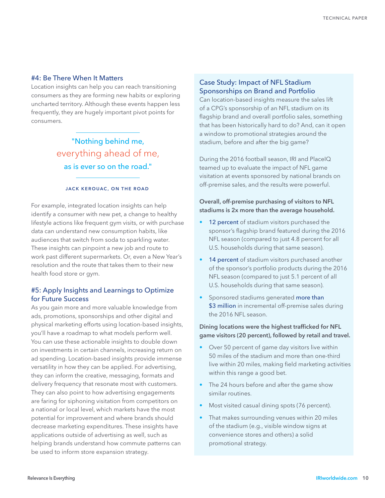### #4: Be There When It Matters

Location insights can help you can reach transitioning consumers as they are forming new habits or exploring uncharted territory. Although these events happen less frequently, they are hugely important pivot points for consumers.

> "Nothing behind me, everything ahead of me, as is ever so on the road."

#### **JACK KEROUAC, ON THE ROAD**

For example, integrated location insights can help identify a consumer with new pet, a change to healthy lifestyle actions like frequent gym visits, or with purchase data can understand new consumption habits, like audiences that switch from soda to sparkling water. These insights can pinpoint a new job and route to work past different supermarkets. Or, even a New Year's resolution and the route that takes them to their new health food store or gym.

## #5: Apply Insights and Learnings to Optimize for Future Success

As you gain more and more valuable knowledge from ads, promotions, sponsorships and other digital and physical marketing efforts using location-based insights, you'll have a roadmap to what models perform well. You can use these actionable insights to double down on investments in certain channels, increasing return on ad spending. Location-based insights provide immense versatility in how they can be applied. For advertising, they can inform the creative, messaging, formats and delivery frequency that resonate most with customers. They can also point to how advertising engagements are faring for siphoning visitation from competitors on a national or local level, which markets have the most potential for improvement and where brands should decrease marketing expenditures. These insights have applications outside of advertising as well, such as helping brands understand how commute patterns can be used to inform store expansion strategy.

### Case Study: Impact of NFL Stadium Sponsorships on Brand and Portfolio

Can location-based insights measure the sales lift of a CPG's sponsorship of an NFL stadium on its flagship brand and overall portfolio sales, something that has been historically hard to do? And, can it open a window to promotional strategies around the stadium, before and after the big game?

During the 2016 football season, IRI and PlaceIQ teamed up to evaluate the impact of NFL game visitation at events sponsored by national brands on off-premise sales, and the results were powerful.

### **Overall, off-premise purchasing of visitors to NFL stadiums is 2x more than the average household.**

- 12 percent of stadium visitors purchased the sponsor's flagship brand featured during the 2016 NFL season (compared to just 4.8 percent for all U.S. households during that same season).
- 14 percent of stadium visitors purchased another of the sponsor's portfolio products during the 2016 NFL season (compared to just 5.1 percent of all U.S. households during that same season).
- Sponsored stadiums generated more than \$3 million in incremental off-premise sales during the 2016 NFL season.

**Dining locations were the highest trafficked for NFL game visitors (20 percent), followed by retail and travel.**

- Over 50 percent of game day visitors live within 50 miles of the stadium and more than one-third live within 20 miles, making field marketing activities within this range a good bet.
- The 24 hours before and after the game show similar routines.
- Most visited casual dining spots (76 percent).
- That makes surrounding venues within 20 miles of the stadium (e.g., visible window signs at convenience stores and others) a solid promotional strategy.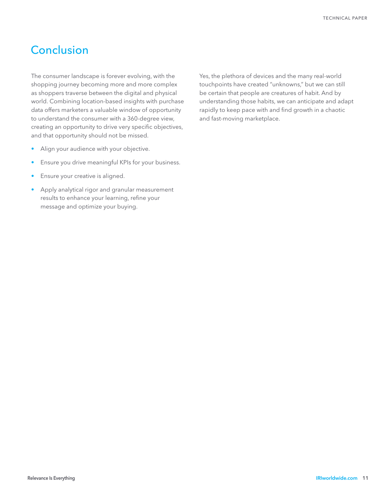# **Conclusion**

The consumer landscape is forever evolving, with the shopping journey becoming more and more complex as shoppers traverse between the digital and physical world. Combining location-based insights with purchase data offers marketers a valuable window of opportunity to understand the consumer with a 360-degree view, creating an opportunity to drive very specific objectives, and that opportunity should not be missed.

- Align your audience with your objective.
- Ensure you drive meaningful KPIs for your business.
- Ensure your creative is aligned.
- Apply analytical rigor and granular measurement results to enhance your learning, refine your message and optimize your buying.

Yes, the plethora of devices and the many real-world touchpoints have created "unknowns," but we can still be certain that people are creatures of habit. And by understanding those habits, we can anticipate and adapt rapidly to keep pace with and find growth in a chaotic and fast-moving marketplace.